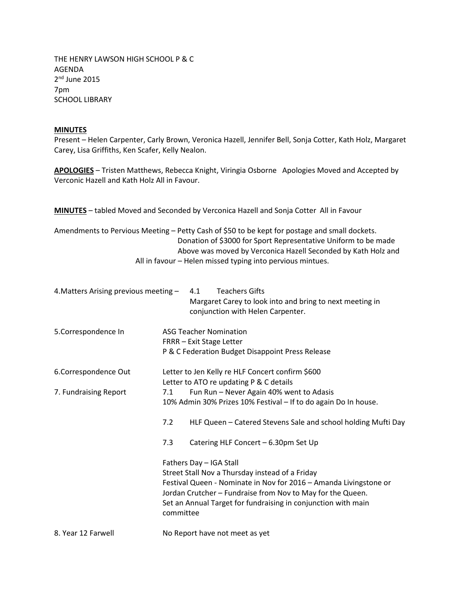THE HENRY LAWSON HIGH SCHOOL P & C AGENDA 2<sup>nd</sup> June 2015 7pm SCHOOL LIBRARY

## **MINUTES**

Present – Helen Carpenter, Carly Brown, Veronica Hazell, Jennifer Bell, Sonja Cotter, Kath Holz, Margaret Carey, Lisa Griffiths, Ken Scafer, Kelly Nealon.

**APOLOGIES** – Tristen Matthews, Rebecca Knight, Viringia Osborne Apologies Moved and Accepted by Verconic Hazell and Kath Holz All in Favour.

**MINUTES** – tabled Moved and Seconded by Verconica Hazell and Sonja Cotter All in Favour

Amendments to Pervious Meeting – Petty Cash of \$50 to be kept for postage and small dockets. Donation of \$3000 for Sport Representative Uniform to be made Above was moved by Verconica Hazell Seconded by Kath Holz and All in favour – Helen missed typing into pervious mintues.

| 4. Matters Arising previous meeting - |                                                                            | 4.1 | <b>Teachers Gifts</b><br>Margaret Carey to look into and bring to next meeting in<br>conjunction with Helen Carpenter. |  |
|---------------------------------------|----------------------------------------------------------------------------|-----|------------------------------------------------------------------------------------------------------------------------|--|
| 5.Correspondence In                   | <b>ASG Teacher Nomination</b>                                              |     |                                                                                                                        |  |
|                                       | FRRR - Exit Stage Letter                                                   |     |                                                                                                                        |  |
|                                       | P & C Federation Budget Disappoint Press Release                           |     |                                                                                                                        |  |
| 6.Correspondence Out                  | Letter to Jen Kelly re HLF Concert confirm \$600                           |     |                                                                                                                        |  |
|                                       | Letter to ATO re updating P & C details                                    |     |                                                                                                                        |  |
| 7. Fundraising Report                 | 7.1                                                                        |     | Fun Run - Never Again 40% went to Adasis                                                                               |  |
|                                       | 10% Admin 30% Prizes 10% Festival - If to do again Do In house.            |     |                                                                                                                        |  |
|                                       | 7.2                                                                        |     | HLF Queen - Catered Stevens Sale and school holding Mufti Day                                                          |  |
|                                       | 7.3                                                                        |     | Catering HLF Concert - 6.30pm Set Up                                                                                   |  |
|                                       | Fathers Day - IGA Stall                                                    |     |                                                                                                                        |  |
|                                       | Street Stall Nov a Thursday instead of a Friday                            |     |                                                                                                                        |  |
|                                       | Festival Queen - Nominate in Nov for 2016 - Amanda Livingstone or          |     |                                                                                                                        |  |
|                                       | Jordan Crutcher - Fundraise from Nov to May for the Queen.                 |     |                                                                                                                        |  |
|                                       | Set an Annual Target for fundraising in conjunction with main<br>committee |     |                                                                                                                        |  |
| 8. Year 12 Farwell                    |                                                                            |     | No Report have not meet as yet                                                                                         |  |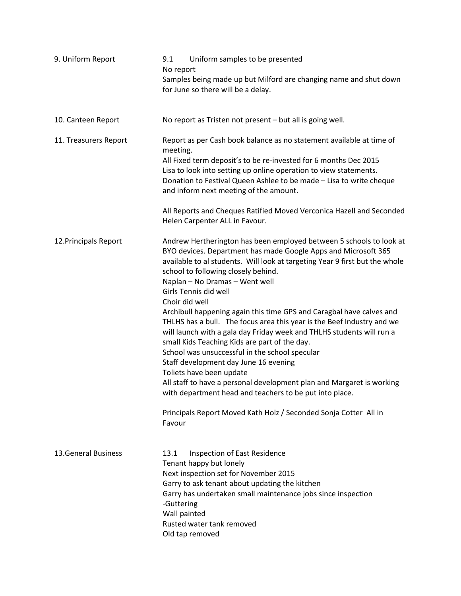| 9. Uniform Report          | Uniform samples to be presented<br>9.1<br>No report<br>Samples being made up but Milford are changing name and shut down<br>for June so there will be a delay.                                                                                                                                                                                                                                                                                                                                                                                                                                                                                                                                                                                                                                                                                                                                                                                                |  |  |
|----------------------------|---------------------------------------------------------------------------------------------------------------------------------------------------------------------------------------------------------------------------------------------------------------------------------------------------------------------------------------------------------------------------------------------------------------------------------------------------------------------------------------------------------------------------------------------------------------------------------------------------------------------------------------------------------------------------------------------------------------------------------------------------------------------------------------------------------------------------------------------------------------------------------------------------------------------------------------------------------------|--|--|
| 10. Canteen Report         | No report as Tristen not present - but all is going well.                                                                                                                                                                                                                                                                                                                                                                                                                                                                                                                                                                                                                                                                                                                                                                                                                                                                                                     |  |  |
| 11. Treasurers Report      | Report as per Cash book balance as no statement available at time of<br>meeting.<br>All Fixed term deposit's to be re-invested for 6 months Dec 2015<br>Lisa to look into setting up online operation to view statements.<br>Donation to Festival Queen Ashlee to be made - Lisa to write cheque<br>and inform next meeting of the amount.<br>All Reports and Cheques Ratified Moved Verconica Hazell and Seconded<br>Helen Carpenter ALL in Favour.                                                                                                                                                                                                                                                                                                                                                                                                                                                                                                          |  |  |
| 12. Principals Report      | Andrew Hertherington has been employed between 5 schools to look at<br>BYO devices. Department has made Google Apps and Microsoft 365<br>available to al students. Will look at targeting Year 9 first but the whole<br>school to following closely behind.<br>Naplan - No Dramas - Went well<br>Girls Tennis did well<br>Choir did well<br>Archibull happening again this time GPS and Caragbal have calves and<br>THLHS has a bull. The focus area this year is the Beef Industry and we<br>will launch with a gala day Friday week and THLHS students will run a<br>small Kids Teaching Kids are part of the day.<br>School was unsuccessful in the school specular<br>Staff development day June 16 evening<br>Toliets have been update<br>All staff to have a personal development plan and Margaret is working<br>with department head and teachers to be put into place.<br>Principals Report Moved Kath Holz / Seconded Sonja Cotter All in<br>Favour |  |  |
| <b>13.General Business</b> | Inspection of East Residence<br>13.1<br>Tenant happy but lonely<br>Next inspection set for November 2015<br>Garry to ask tenant about updating the kitchen<br>Garry has undertaken small maintenance jobs since inspection<br>-Guttering<br>Wall painted<br>Rusted water tank removed<br>Old tap removed                                                                                                                                                                                                                                                                                                                                                                                                                                                                                                                                                                                                                                                      |  |  |